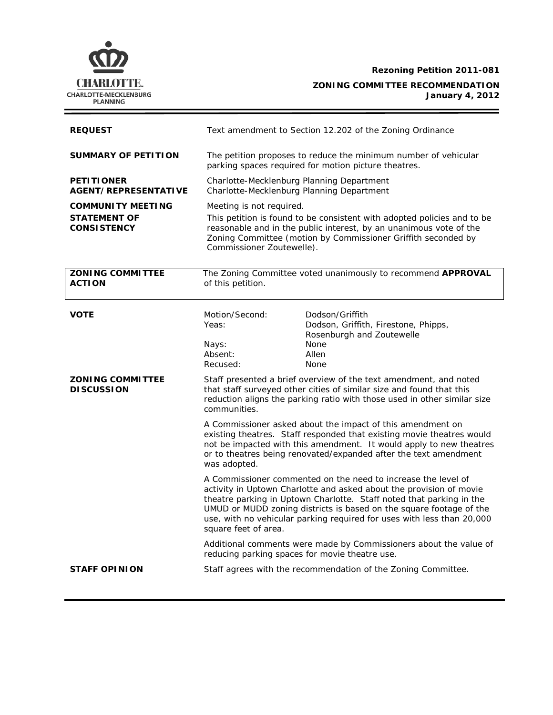

**Rezoning Petition 2011-081 ZONING COMMITTEE RECOMMENDATION January 4, 2012**

| <b>REQUEST</b>                                                        | Text amendment to Section 12.202 of the Zoning Ordinance                                                                                                                                                                                                                                       |                                                                                                                                                                                                                                                                                                                                                               |  |
|-----------------------------------------------------------------------|------------------------------------------------------------------------------------------------------------------------------------------------------------------------------------------------------------------------------------------------------------------------------------------------|---------------------------------------------------------------------------------------------------------------------------------------------------------------------------------------------------------------------------------------------------------------------------------------------------------------------------------------------------------------|--|
| <b>SUMMARY OF PETITION</b>                                            | The petition proposes to reduce the minimum number of vehicular<br>parking spaces required for motion picture theatres.                                                                                                                                                                        |                                                                                                                                                                                                                                                                                                                                                               |  |
| <b>PETITIONER</b><br><b>AGENT/REPRESENTATIVE</b>                      | Charlotte-Mecklenburg Planning Department<br>Charlotte-Mecklenburg Planning Department                                                                                                                                                                                                         |                                                                                                                                                                                                                                                                                                                                                               |  |
| <b>COMMUNITY MEETING</b><br><b>STATEMENT OF</b><br><b>CONSISTENCY</b> | Meeting is not required.<br>This petition is found to be consistent with adopted policies and to be<br>reasonable and in the public interest, by an unanimous vote of the<br>Zoning Committee (motion by Commissioner Griffith seconded by<br>Commissioner Zoutewelle).                        |                                                                                                                                                                                                                                                                                                                                                               |  |
| <b>ZONING COMMITTEE</b><br><b>ACTION</b>                              | The Zoning Committee voted unanimously to recommend APPROVAL<br>of this petition.                                                                                                                                                                                                              |                                                                                                                                                                                                                                                                                                                                                               |  |
| <b>VOTE</b>                                                           | Motion/Second:<br>Yeas:<br>Nays:<br>Absent:<br>Recused:                                                                                                                                                                                                                                        | Dodson/Griffith<br>Dodson, Griffith, Firestone, Phipps,<br>Rosenburgh and Zoutewelle<br><b>None</b><br>Allen<br><b>None</b>                                                                                                                                                                                                                                   |  |
| <b>ZONING COMMITTEE</b><br><b>DISCUSSION</b><br>communities.          |                                                                                                                                                                                                                                                                                                | Staff presented a brief overview of the text amendment, and noted<br>that staff surveyed other cities of similar size and found that this<br>reduction aligns the parking ratio with those used in other similar size                                                                                                                                         |  |
|                                                                       | A Commissioner asked about the impact of this amendment on<br>existing theatres. Staff responded that existing movie theatres would<br>not be impacted with this amendment. It would apply to new theatres<br>or to theatres being renovated/expanded after the text amendment<br>was adopted. |                                                                                                                                                                                                                                                                                                                                                               |  |
|                                                                       | square feet of area.                                                                                                                                                                                                                                                                           | A Commissioner commented on the need to increase the level of<br>activity in Uptown Charlotte and asked about the provision of movie<br>theatre parking in Uptown Charlotte. Staff noted that parking in the<br>UMUD or MUDD zoning districts is based on the square footage of the<br>use, with no vehicular parking required for uses with less than 20,000 |  |
|                                                                       | Additional comments were made by Commissioners about the value of<br>reducing parking spaces for movie theatre use.                                                                                                                                                                            |                                                                                                                                                                                                                                                                                                                                                               |  |
| <b>STAFF OPINION</b>                                                  |                                                                                                                                                                                                                                                                                                | Staff agrees with the recommendation of the Zoning Committee.                                                                                                                                                                                                                                                                                                 |  |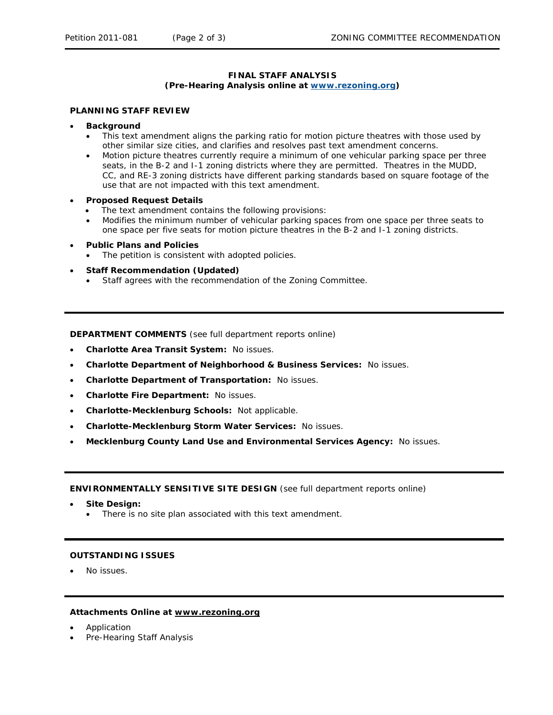## **FINAL STAFF ANALYSIS (Pre-Hearing Analysis online at [www.rezoning.org](http://www.rezoning.org/))**

## **PLANNING STAFF REVIEW**

- **Background** 
	- This text amendment aligns the parking ratio for motion picture theatres with those used by other similar size cities, and clarifies and resolves past text amendment concerns.
	- Motion picture theatres currently require a minimum of one vehicular parking space per three seats, in the B-2 and I-1 zoning districts where they are permitted. Theatres in the MUDD, CC, and RE-3 zoning districts have different parking standards based on square footage of the use that are not impacted with this text amendment.
- **Pro posed Request Details** 
	- The text amendment contains the following provisions:
	- Modifies the minimum number of vehicular parking spaces from one space per three seats to one space per five seats for motion picture theatres in the B-2 and I-1 zoning districts.
- **Public Plans and Policies** 
	- The petition is consistent with adopted policies.
- **Staff Recommendation (Updated)** 
	- Staff agrees with the recommendation of the Zoning Committee.

**DEPARTMENT COMMENTS** (see full department reports online)

- **Charlotte Area Transit System:** No issues.
- **Charlotte Department of Neighborhood & Business Services:** No issues.
- **Charlotte Department of Transportation:** No issues.
- **Charlotte Fire Department:** No issues.
- **Charlotte-Mecklenburg Schools: Not applicable.**
- **Charlotte-Mecklenburg Storm Water Services: No issues.**
- **Mecklenburg County Land Use and Environmental Services Agency: No issues.**

**ENVIRONMENTALLY SENSITIVE SITE DESIGN** (see full department reports online)

• **Site Design:**

• There is no site plan associated with this text amendment.

## **OUTSTANDING ISSUES**

• No issues.

## **Attachments Online at www.rezoning.org**

- Application
- Pre-Hearing Staff Analysis